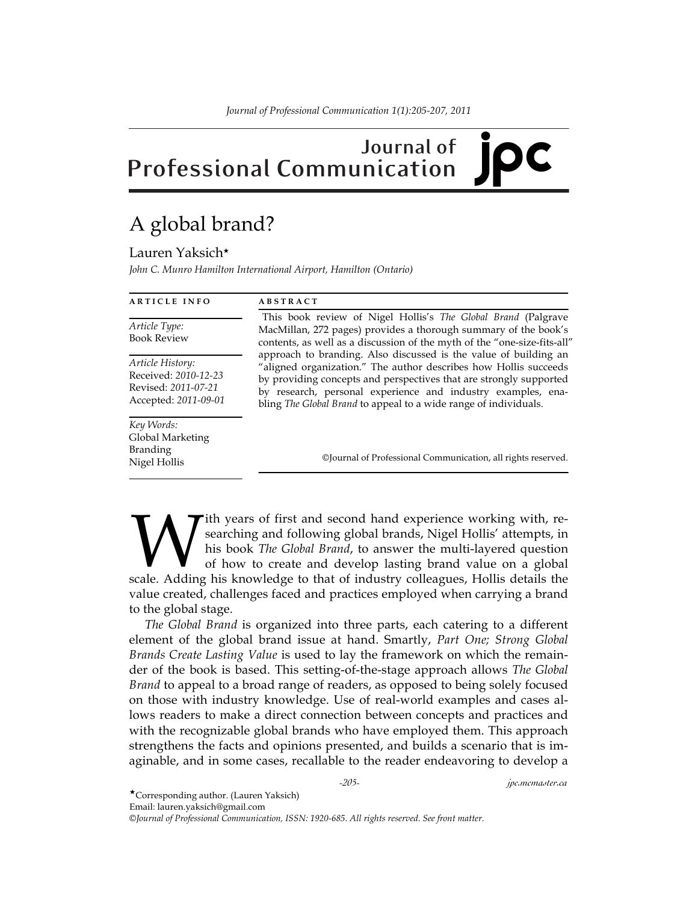## **Journal of Professional Communication**

## A global brand?

Lauren Yaksich★

*John C. Munro Hamilton International Airport, Hamilton (Ontario)*

| <b>ARTICLE INFO</b>                                                                     | <b>ABSTRACT</b>                                                                                                                                                                                                                                                                                                                                                                                                                                                                                                                                                |
|-----------------------------------------------------------------------------------------|----------------------------------------------------------------------------------------------------------------------------------------------------------------------------------------------------------------------------------------------------------------------------------------------------------------------------------------------------------------------------------------------------------------------------------------------------------------------------------------------------------------------------------------------------------------|
| Article Type:<br><b>Book Review</b>                                                     | This book review of Nigel Hollis's The Global Brand (Palgrave<br>MacMillan, 272 pages) provides a thorough summary of the book's<br>contents, as well as a discussion of the myth of the "one-size-fits-all"<br>approach to branding. Also discussed is the value of building an<br>"aligned organization." The author describes how Hollis succeeds<br>by providing concepts and perspectives that are strongly supported<br>by research, personal experience and industry examples, ena-<br>bling The Global Brand to appeal to a wide range of individuals. |
| Article History:<br>Received: 2010-12-23<br>Revised: 2011-07-21<br>Accepted: 2011-09-01 |                                                                                                                                                                                                                                                                                                                                                                                                                                                                                                                                                                |
| Key Words:<br>Global Marketing<br><b>Branding</b><br>Nigel Hollis                       | ©Journal of Professional Communication, all rights reserved.                                                                                                                                                                                                                                                                                                                                                                                                                                                                                                   |

ith years of first and second hand experience working with, researching and following global brands, Nigel Hollis' attempts, in his book *The Global Brand*, to answer the multi-layered question of how to create and develop lasting brand value on a global **Solution** Ith years of first and second hand experience working with, researching and following global brands, Nigel Hollis' attempts, in his book *The Global Brand*, to answer the multi-layered question of how to create value created, challenges faced and practices employed when carrying a brand to the global stage.

 *The Global Brand* is organized into three parts, each catering to a different element of the global brand issue at hand. Smartly, *Part One; Strong Global Brands Create Lasting Value* is used to lay the framework on which the remainder of the book is based. This setting-of-the-stage approach allows *The Global Brand* to appeal to a broad range of readers, as opposed to being solely focused on those with industry knowledge. Use of real-world examples and cases allows readers to make a direct connection between concepts and practices and with the recognizable global brands who have employed them. This approach strengthens the facts and opinions presented, and builds a scenario that is imaginable, and in some cases, recallable to the reader endeavoring to develop a

*-205- jpc.mcmaster.ca*

★Corresponding author. (Lauren Yaksich)

Email: lauren.yaksich@gmail.com

*©Journal of Professional Communication, ISSN: 1920-685. All rights reserved. See front matter.*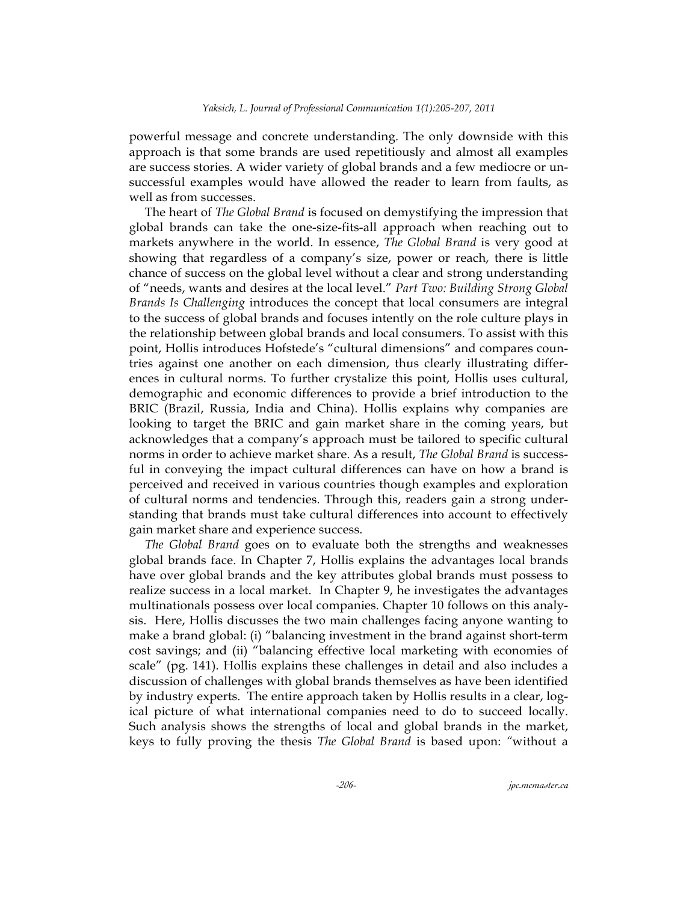powerful message and concrete understanding. The only downside with this approach is that some brands are used repetitiously and almost all examples are success stories. A wider variety of global brands and a few mediocre or unsuccessful examples would have allowed the reader to learn from faults, as well as from successes.

 The heart of *The Global Brand* is focused on demystifying the impression that global brands can take the one-size-fits-all approach when reaching out to markets anywhere in the world. In essence, *The Global Brand* is very good at showing that regardless of a company's size, power or reach, there is little chance of success on the global level without a clear and strong understanding of "needs, wants and desires at the local level." *Part Two: Building Strong Global Brands Is Challenging* introduces the concept that local consumers are integral to the success of global brands and focuses intently on the role culture plays in the relationship between global brands and local consumers. To assist with this point, Hollis introduces Hofstede's "cultural dimensions" and compares countries against one another on each dimension, thus clearly illustrating differences in cultural norms. To further crystalize this point, Hollis uses cultural, demographic and economic differences to provide a brief introduction to the BRIC (Brazil, Russia, India and China). Hollis explains why companies are looking to target the BRIC and gain market share in the coming years, but acknowledges that a company's approach must be tailored to specific cultural norms in order to achieve market share. As a result, *The Global Brand* is successful in conveying the impact cultural differences can have on how a brand is perceived and received in various countries though examples and exploration of cultural norms and tendencies. Through this, readers gain a strong understanding that brands must take cultural differences into account to effectively gain market share and experience success.

 *The Global Brand* goes on to evaluate both the strengths and weaknesses global brands face. In Chapter 7, Hollis explains the advantages local brands have over global brands and the key attributes global brands must possess to realize success in a local market. In Chapter 9, he investigates the advantages multinationals possess over local companies. Chapter 10 follows on this analysis. Here, Hollis discusses the two main challenges facing anyone wanting to make a brand global: (i) "balancing investment in the brand against short-term cost savings; and (ii) "balancing effective local marketing with economies of scale" (pg. 141). Hollis explains these challenges in detail and also includes a discussion of challenges with global brands themselves as have been identified by industry experts. The entire approach taken by Hollis results in a clear, logical picture of what international companies need to do to succeed locally. Such analysis shows the strengths of local and global brands in the market, keys to fully proving the thesis *The Global Brand* is based upon: *"*without a

*-206- jpc.mcmaster.ca*